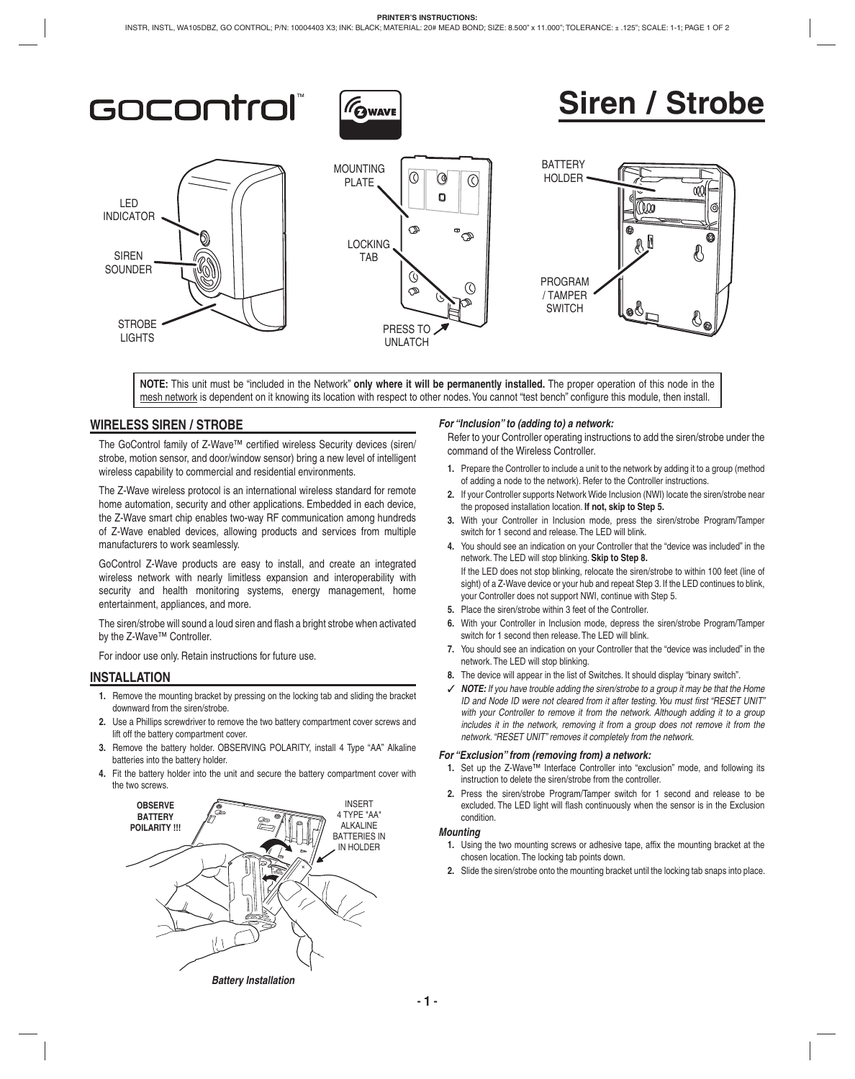

# **Siren / Strobe**



**NOTE:** This unit must be "included in the Network" **only where it will be permanently installed.** The proper operation of this node in the mesh network is dependent on it knowing its location with respect to other nodes. You cannot "test bench" configure this module, then install.

# **WIRELESS SIREN / STROBE**

The GoControl family of Z-Wave™ certified wireless Security devices (siren/ strobe, motion sensor, and door/window sensor) bring a new level of intelligent wireless capability to commercial and residential environments.

The Z-Wave wireless protocol is an international wireless standard for remote home automation, security and other applications. Embedded in each device, the Z-Wave smart chip enables two-way RF communication among hundreds of Z-Wave enabled devices, allowing products and services from multiple manufacturers to work seamlessly.

GoControl Z-Wave products are easy to install, and create an integrated wireless network with nearly limitless expansion and interoperability with security and health monitoring systems, energy management, home entertainment, appliances, and more.

The siren/strobe will sound a loud siren and flash a bright strobe when activated by the Z-Wave™ Controller.

For indoor use only. Retain instructions for future use.

### **INSTALLATION**

- **1.** Remove the mounting bracket by pressing on the locking tab and sliding the bracket downward from the siren/strobe.
- **2.** Use a Phillips screwdriver to remove the two battery compartment cover screws and lift off the battery compartment cover.
- **3.** Remove the battery holder. OBSERVING POLARITY, install 4 Type "AA" Alkaline batteries into the battery holder.
- **4.** Fit the battery holder into the unit and secure the battery compartment cover with the two screws.



#### *For "Inclusion" to (adding to) a network:*

Refer to your Controller operating instructions to add the siren/strobe under the command of the Wireless Controller.

- **1.** Prepare the Controller to include a unit to the network by adding it to a group (method of adding a node to the network). Refer to the Controller instructions.
- **2.** If your Controller supports Network Wide Inclusion (NWI) locate the siren/strobe near the proposed installation location. **If not, skip to Step 5.**
- **3.** With your Controller in Inclusion mode, press the siren/strobe Program/Tamper switch for 1 second and release. The LED will blink.
- **4.** You should see an indication on your Controller that the "device was included" in the network. The LED will stop blinking. **Skip to Step 8.** If the LED does not stop blinking, relocate the siren/strobe to within 100 feet (line of sight) of a Z-Wave device or your hub and repeat Step 3. If the LED continues to blink, your Controller does not support NWI, continue with Step 5.
- **5.** Place the siren/strobe within 3 feet of the Controller.
- **6.** With your Controller in Inclusion mode, depress the siren/strobe Program/Tamper switch for 1 second then release. The LED will blink.
- **7.** You should see an indication on your Controller that the "device was included" in the network. The LED will stop blinking.
- **8.** The device will appear in the list of Switches. It should display "binary switch".
- ✓ *NOTE: If you have trouble adding the siren/strobe to a group it may be that the Home ID and Node ID were not cleared from it after testing. You must first "RESET UNIT" with your Controller to remove it from the network. Although adding it to a group includes it in the network, removing it from a group does not remove it from the network. "RESET UNIT" removes it completely from the network.*

#### *For "Exclusion" from (removing from) a network:*

- **1.** Set up the Z-Wave™ Interface Controller into "exclusion" mode, and following its instruction to delete the siren/strobe from the controller.
- **2.** Press the siren/strobe Program/Tamper switch for 1 second and release to be excluded. The LED light will flash continuously when the sensor is in the Exclusion condition.

#### *Mounting*

- **1.** Using the two mounting screws or adhesive tape, affix the mounting bracket at the chosen location. The locking tab points down.
- **2.** Slide the siren/strobe onto the mounting bracket until the locking tab snaps into place.